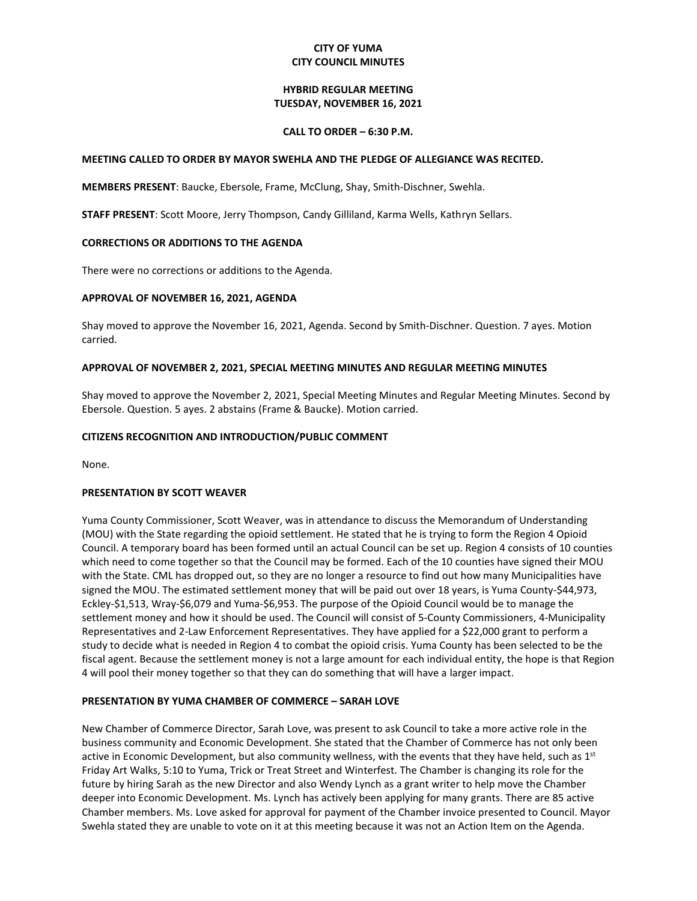## **CITY OF YUMA CITY COUNCIL MINUTES**

### **HYBRID REGULAR MEETING TUESDAY, NOVEMBER 16, 2021**

### **CALL TO ORDER – 6:30 P.M.**

### **MEETING CALLED TO ORDER BY MAYOR SWEHLA AND THE PLEDGE OF ALLEGIANCE WAS RECITED.**

**MEMBERS PRESENT**: Baucke, Ebersole, Frame, McClung, Shay, Smith-Dischner, Swehla.

**STAFF PRESENT**: Scott Moore, Jerry Thompson, Candy Gilliland, Karma Wells, Kathryn Sellars.

## **CORRECTIONS OR ADDITIONS TO THE AGENDA**

There were no corrections or additions to the Agenda.

## **APPROVAL OF NOVEMBER 16, 2021, AGENDA**

Shay moved to approve the November 16, 2021, Agenda. Second by Smith-Dischner. Question. 7 ayes. Motion carried.

## **APPROVAL OF NOVEMBER 2, 2021, SPECIAL MEETING MINUTES AND REGULAR MEETING MINUTES**

Shay moved to approve the November 2, 2021, Special Meeting Minutes and Regular Meeting Minutes. Second by Ebersole. Question. 5 ayes. 2 abstains (Frame & Baucke). Motion carried.

## **CITIZENS RECOGNITION AND INTRODUCTION/PUBLIC COMMENT**

None.

## **PRESENTATION BY SCOTT WEAVER**

Yuma County Commissioner, Scott Weaver, was in attendance to discuss the Memorandum of Understanding (MOU) with the State regarding the opioid settlement. He stated that he is trying to form the Region 4 Opioid Council. A temporary board has been formed until an actual Council can be set up. Region 4 consists of 10 counties which need to come together so that the Council may be formed. Each of the 10 counties have signed their MOU with the State. CML has dropped out, so they are no longer a resource to find out how many Municipalities have signed the MOU. The estimated settlement money that will be paid out over 18 years, is Yuma County-\$44,973, Eckley-\$1,513, Wray-\$6,079 and Yuma-\$6,953. The purpose of the Opioid Council would be to manage the settlement money and how it should be used. The Council will consist of 5-County Commissioners, 4-Municipality Representatives and 2-Law Enforcement Representatives. They have applied for a \$22,000 grant to perform a study to decide what is needed in Region 4 to combat the opioid crisis. Yuma County has been selected to be the fiscal agent. Because the settlement money is not a large amount for each individual entity, the hope is that Region 4 will pool their money together so that they can do something that will have a larger impact.

## **PRESENTATION BY YUMA CHAMBER OF COMMERCE – SARAH LOVE**

New Chamber of Commerce Director, Sarah Love, was present to ask Council to take a more active role in the business community and Economic Development. She stated that the Chamber of Commerce has not only been active in Economic Development, but also community wellness, with the events that they have held, such as 1<sup>st</sup> Friday Art Walks, 5:10 to Yuma, Trick or Treat Street and Winterfest. The Chamber is changing its role for the future by hiring Sarah as the new Director and also Wendy Lynch as a grant writer to help move the Chamber deeper into Economic Development. Ms. Lynch has actively been applying for many grants. There are 85 active Chamber members. Ms. Love asked for approval for payment of the Chamber invoice presented to Council. Mayor Swehla stated they are unable to vote on it at this meeting because it was not an Action Item on the Agenda.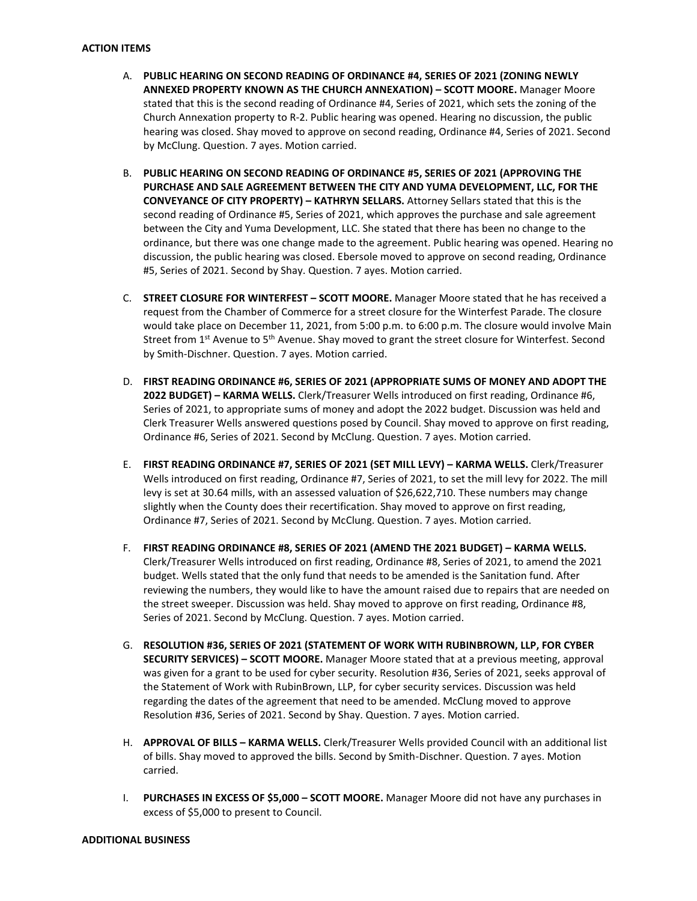- A. **PUBLIC HEARING ON SECOND READING OF ORDINANCE #4, SERIES OF 2021 (ZONING NEWLY ANNEXED PROPERTY KNOWN AS THE CHURCH ANNEXATION) – SCOTT MOORE.** Manager Moore stated that this is the second reading of Ordinance #4, Series of 2021, which sets the zoning of the Church Annexation property to R-2. Public hearing was opened. Hearing no discussion, the public hearing was closed. Shay moved to approve on second reading, Ordinance #4, Series of 2021. Second by McClung. Question. 7 ayes. Motion carried.
- B. **PUBLIC HEARING ON SECOND READING OF ORDINANCE #5, SERIES OF 2021 (APPROVING THE PURCHASE AND SALE AGREEMENT BETWEEN THE CITY AND YUMA DEVELOPMENT, LLC, FOR THE CONVEYANCE OF CITY PROPERTY) – KATHRYN SELLARS.** Attorney Sellars stated that this is the second reading of Ordinance #5, Series of 2021, which approves the purchase and sale agreement between the City and Yuma Development, LLC. She stated that there has been no change to the ordinance, but there was one change made to the agreement. Public hearing was opened. Hearing no discussion, the public hearing was closed. Ebersole moved to approve on second reading, Ordinance #5, Series of 2021. Second by Shay. Question. 7 ayes. Motion carried.
- C. **STREET CLOSURE FOR WINTERFEST – SCOTT MOORE.** Manager Moore stated that he has received a request from the Chamber of Commerce for a street closure for the Winterfest Parade. The closure would take place on December 11, 2021, from 5:00 p.m. to 6:00 p.m. The closure would involve Main Street from 1<sup>st</sup> Avenue to 5<sup>th</sup> Avenue. Shay moved to grant the street closure for Winterfest. Second by Smith-Dischner. Question. 7 ayes. Motion carried.
- D. **FIRST READING ORDINANCE #6, SERIES OF 2021 (APPROPRIATE SUMS OF MONEY AND ADOPT THE 2022 BUDGET) – KARMA WELLS.** Clerk/Treasurer Wells introduced on first reading, Ordinance #6, Series of 2021, to appropriate sums of money and adopt the 2022 budget. Discussion was held and Clerk Treasurer Wells answered questions posed by Council. Shay moved to approve on first reading, Ordinance #6, Series of 2021. Second by McClung. Question. 7 ayes. Motion carried.
- E. **FIRST READING ORDINANCE #7, SERIES OF 2021 (SET MILL LEVY) – KARMA WELLS.** Clerk/Treasurer Wells introduced on first reading, Ordinance #7, Series of 2021, to set the mill levy for 2022. The mill levy is set at 30.64 mills, with an assessed valuation of \$26,622,710. These numbers may change slightly when the County does their recertification. Shay moved to approve on first reading, Ordinance #7, Series of 2021. Second by McClung. Question. 7 ayes. Motion carried.
- F. **FIRST READING ORDINANCE #8, SERIES OF 2021 (AMEND THE 2021 BUDGET) – KARMA WELLS.** Clerk/Treasurer Wells introduced on first reading, Ordinance #8, Series of 2021, to amend the 2021 budget. Wells stated that the only fund that needs to be amended is the Sanitation fund. After reviewing the numbers, they would like to have the amount raised due to repairs that are needed on the street sweeper. Discussion was held. Shay moved to approve on first reading, Ordinance #8, Series of 2021. Second by McClung. Question. 7 ayes. Motion carried.
- G. **RESOLUTION #36, SERIES OF 2021 (STATEMENT OF WORK WITH RUBINBROWN, LLP, FOR CYBER SECURITY SERVICES) – SCOTT MOORE.** Manager Moore stated that at a previous meeting, approval was given for a grant to be used for cyber security. Resolution #36, Series of 2021, seeks approval of the Statement of Work with RubinBrown, LLP, for cyber security services. Discussion was held regarding the dates of the agreement that need to be amended. McClung moved to approve Resolution #36, Series of 2021. Second by Shay. Question. 7 ayes. Motion carried.
- H. **APPROVAL OF BILLS – KARMA WELLS.** Clerk/Treasurer Wells provided Council with an additional list of bills. Shay moved to approved the bills. Second by Smith-Dischner. Question. 7 ayes. Motion carried.
- I. **PURCHASES IN EXCESS OF \$5,000 – SCOTT MOORE.** Manager Moore did not have any purchases in excess of \$5,000 to present to Council.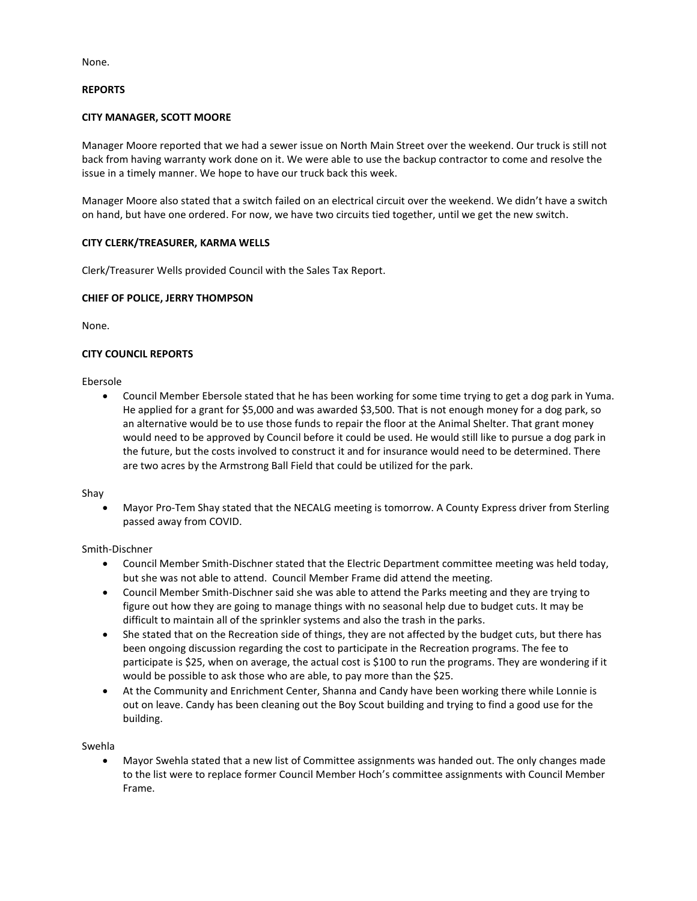None.

### **REPORTS**

## **CITY MANAGER, SCOTT MOORE**

Manager Moore reported that we had a sewer issue on North Main Street over the weekend. Our truck is still not back from having warranty work done on it. We were able to use the backup contractor to come and resolve the issue in a timely manner. We hope to have our truck back this week.

Manager Moore also stated that a switch failed on an electrical circuit over the weekend. We didn't have a switch on hand, but have one ordered. For now, we have two circuits tied together, until we get the new switch.

## **CITY CLERK/TREASURER, KARMA WELLS**

Clerk/Treasurer Wells provided Council with the Sales Tax Report.

## **CHIEF OF POLICE, JERRY THOMPSON**

None.

## **CITY COUNCIL REPORTS**

Ebersole

• Council Member Ebersole stated that he has been working for some time trying to get a dog park in Yuma. He applied for a grant for \$5,000 and was awarded \$3,500. That is not enough money for a dog park, so an alternative would be to use those funds to repair the floor at the Animal Shelter. That grant money would need to be approved by Council before it could be used. He would still like to pursue a dog park in the future, but the costs involved to construct it and for insurance would need to be determined. There are two acres by the Armstrong Ball Field that could be utilized for the park.

Shay

• Mayor Pro-Tem Shay stated that the NECALG meeting is tomorrow. A County Express driver from Sterling passed away from COVID.

#### Smith-Dischner

- Council Member Smith-Dischner stated that the Electric Department committee meeting was held today, but she was not able to attend. Council Member Frame did attend the meeting.
- Council Member Smith-Dischner said she was able to attend the Parks meeting and they are trying to figure out how they are going to manage things with no seasonal help due to budget cuts. It may be difficult to maintain all of the sprinkler systems and also the trash in the parks.
- She stated that on the Recreation side of things, they are not affected by the budget cuts, but there has been ongoing discussion regarding the cost to participate in the Recreation programs. The fee to participate is \$25, when on average, the actual cost is \$100 to run the programs. They are wondering if it would be possible to ask those who are able, to pay more than the \$25.
- At the Community and Enrichment Center, Shanna and Candy have been working there while Lonnie is out on leave. Candy has been cleaning out the Boy Scout building and trying to find a good use for the building.

Swehla

• Mayor Swehla stated that a new list of Committee assignments was handed out. The only changes made to the list were to replace former Council Member Hoch's committee assignments with Council Member Frame.